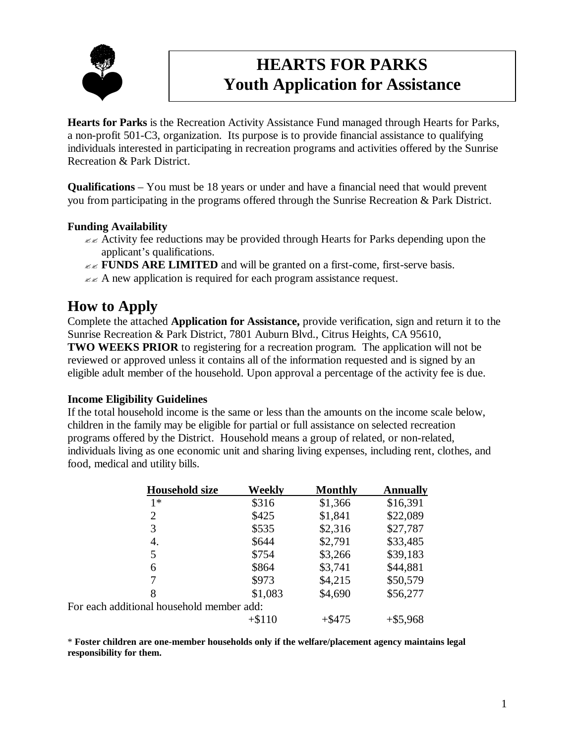

# **HEARTS FOR PARKS Youth Application for Assistance**

**Hearts for Parks** is the Recreation Activity Assistance Fund managed through Hearts for Parks, a non-profit 501-C3, organization. Its purpose is to provide financial assistance to qualifying individuals interested in participating in recreation programs and activities offered by the Sunrise Recreation & Park District.

**Qualifications** – You must be 18 years or under and have a financial need that would prevent you from participating in the programs offered through the Sunrise Recreation & Park District.

#### **Funding Availability**

- $\epsilon \leq$  Activity fee reductions may be provided through Hearts for Parks depending upon the applicant's qualifications.
- $\mathbb{Z} \times$  **FUNDS ARE LIMITED** and will be granted on a first-come, first-serve basis.
- $\epsilon \leq A$  new application is required for each program assistance request.

## **How to Apply**

Complete the attached **Application for Assistance,** provide verification, sign and return it to the Sunrise Recreation & Park District, 7801 Auburn Blvd., Citrus Heights, CA 95610, **TWO WEEKS PRIOR** to registering for a recreation program. The application will not be reviewed or approved unless it contains all of the information requested and is signed by an eligible adult member of the household. Upon approval a percentage of the activity fee is due.

#### **Income Eligibility Guidelines**

If the total household income is the same or less than the amounts on the income scale below, children in the family may be eligible for partial or full assistance on selected recreation programs offered by the District. Household means a group of related, or non-related, individuals living as one economic unit and sharing living expenses, including rent, clothes, and food, medical and utility bills.

| <b>Household size</b>                     | Weekly   | <b>Monthly</b> | <b>Annually</b> |
|-------------------------------------------|----------|----------------|-----------------|
| $1*$                                      | \$316    | \$1,366        | \$16,391        |
| 2                                         | \$425    | \$1,841        | \$22,089        |
| 3                                         | \$535    | \$2,316        | \$27,787        |
| 4.                                        | \$644    | \$2,791        | \$33,485        |
| 5                                         | \$754    | \$3,266        | \$39,183        |
| 6                                         | \$864    | \$3,741        | \$44,881        |
|                                           | \$973    | \$4,215        | \$50,579        |
| 8                                         | \$1,083  | \$4,690        | \$56,277        |
| For each additional household member add: |          |                |                 |
|                                           | $+ $110$ | $+$ \$475      | $+$ \$5,968     |

\* **Foster children are one-member households only if the welfare/placement agency maintains legal responsibility for them.**